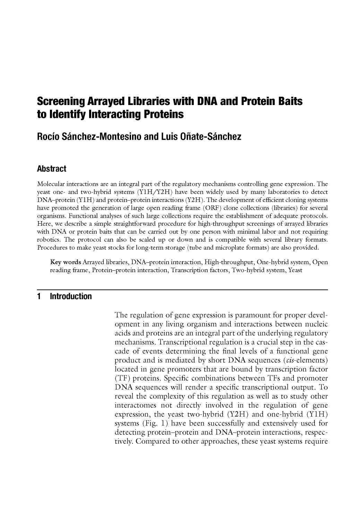# **Screening Arrayed Libraries with DNA and Protein Baits to Identify Interacting Proteins**

## **Rocío Sánchez-Montesino and Luis Oñate-Sánchez**

#### **Abstract**

Molecular interactions are an integral part of the regulatory mechanisms controlling gene expression. The yeast one- and two-hybrid systems (Y1H/Y2H) have been widely used by many laboratories to detect DNA-protein (Y1H) and protein-protein interactions (Y2H). The development of efficient cloning systems have promoted the generation of large open reading frame (ORF) clone collections (libraries) for several organisms. Functional analyses of such large collections require the establishment of adequate protocols. Here, we describe a simple straightforward procedure for high-throughput screenings of arrayed libraries with DNA or protein baits that can be carried out by one person with minimal labor and not requiring robotics. The protocol can also be scaled up or down and is compatible with several library formats. Procedures to make yeast stocks for long-term storage (tube and microplate formats) are also provided.

Key words Arrayed libraries, DNA-protein interaction, High-throughput, One-hybrid system, Open reading frame, Protein-protein interaction, Transcription factors, Two-hybrid system, Yeast

#### **1 Introduction**

The regulation of gene expression is paramount for proper development in any living organism and interactions between nucleic acids and proteins are an integral part of the underlying regulatory mechanisms. Transcriptional regulation is a crucial step in the cascade of events determining the final levels of a functional gene product and is mediated by short DNA sequences (*cis*-elements) located in gene promoters that are bound by transcription factor (TF) proteins. Specific combinations between TFs and promoter DNA sequences will render a specific transcriptional output. To reveal the complexity of this regulation as well as to study other interactomes not directly involved in the regulation of gene expression, the yeast two-hybrid (Y2H) and one-hybrid (Y1H) systems (Fig. 1) have been successfully and extensively used for detecting protein-protein and DNA-protein interactions, respectively. Compared to other approaches, these yeast systems require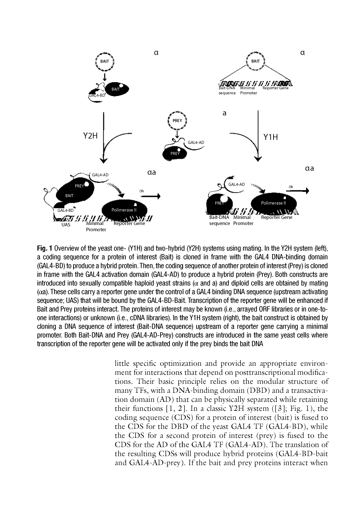

**Fig.** 1 Overview of the yeast one- (Y1H) and two-hybrid (Y2H) systems using mating. In the Y2H system (left), a coding sequence for a protein of interest (Bait) is cloned in frame with the GAL4 DNA-binding domain (GAL4-BD) to produce a hybrid protein. Then, the coding sequence of another protein of interest (Prey) is cloned in frame with the GAL4 activation domain (GAL4-AD) to produce a hybrid protein (Prey). Both constructs are introduced into sexually compatible haploid yeast strains  $(\alpha$  and a) and diploid cells are obtained by mating (aa). These cells carry a reporter gene under the control of a GAL4 binding DNA sequence (upstream activating sequence; UAS) that will be bound by the GAL4-BD-Bait. Transcription of the reporter gene will be enhanced if Bait and Prey proteins interact. The proteins of interest may be known (i.e., arrayed ORF libraries or in one-toone interactions) or unknown (i.e., cDNA libraries). In the Y1H system (right), the bait construct is obtained by cloning a DNA sequence of interest (Bait-DNA sequence) upstream of a reporter gene carrying a minimal promoter. Both Bait-DNA and Prey (GAL4-AD-Prey) constructs are introduced in the same yeast cells where transcription of the reporter gene will be activated only if the prey binds the bait DNA

little specific optimization and provide an appropriate environment for interactions that depend on posttranscriptional modifications. Their basic principle relies on the modular structure of many TFs, with a DNA-binding domain (DBD) and a transactivation domain (AD) that can be physically separated while retaining their functions  $[1, 2]$ . In a classic Y2H system  $([3];$  Fig. 1), the coding sequence (CDS) for a protein of interest (bait) is fused to the CDS for the DBD of the yeast GAL4 TF (GAL4-BD), while the CDS for a second protein of interest (prey) is fused to the CDS for the AD of the GAL4 TF (GAL4-AD). The translation of the resulting CDSs will produce hybrid proteins (GAL4-BD-bait and GAL4-AD-prey). If the bait and prey proteins interact when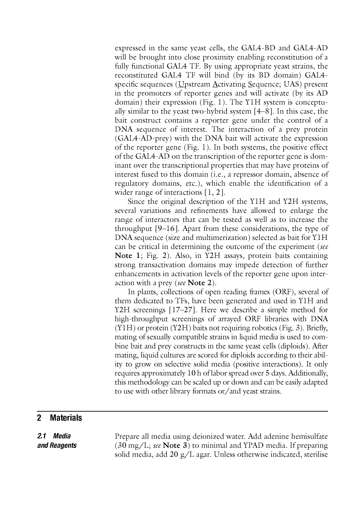expressed in the same yeast cells, the GAL4-BD and GAL4-AD will be brought into close proximity enabling reconstitution of a fully functional GAL4 TF. By using appropriate yeast strains, the reconstituted GAL4 TF will bind (by its BD domain) GAL4 specific sequences (Upstream Activating Sequence; UAS) present in the promoters of reporter genes and will activate (by its AD domain) their expression (Fig. 1). The Y1H system is conceptually similar to the yeast two-hybrid system [4-8]. In this case, the bait construct contains a reporter gene under the control of a DNA sequence of interest. The interaction of a prey protein (GAL4-AD-prey) with the DNA bait will activate the expression of the reporter gene (Fig. 1). In both systems, the positive effect of the GAL4-AD on the transcription of the reporter gene is dominant over the transcriptional properties that may have proteins of interest fused to this domain (i.e., a repressor domain, absence of regulatory domains, etc.), which enable the identification of a wider range of interactions [1, 2].

Since the original description of the Y1H and Y2H systems, several variations and refinements have allowed to enlarge the range of interactors that can be tested as well as to increase the throughput [9-16]. Apart from these considerations, the type of DNA sequence (size and multimerization) selected as bait for Y1H can be critical in determining the outcome of the experiment *(see*  **Note 1;** Fig. 2). Also, in Y2H assays, protein baits containing strong transactivation domains may impede detection of further enhancements in activation levels of the reporter gene upon interaction with a prey *(see* **Note 2).** 

In plants, collections of open reading frames (ORF), several of them dedicated to TFs, have been generated and used in Y1H and Y2H screenings [17-27]. Here we describe a simple method for high-throughput screenings of arrayed ORF libraries with DNA (Y1H) or protein (Y2H) baits not requiring robotics (Fig. 3). Briefly, mating of sexually compatible strains in liquid media is used to combine bait and prey constructs in the same yeast cells (diploids). After mating, liquid cultures are scored for diploids according to their ability to grow on selective solid media (positive interactions). It only requires approximately 10 h of labor spread over 5 days. Additionally, this methodology can be scaled up or down and can be easily adapted to use with other library formats or/and yeast strains.

## **2 Materials**

2.1 Media and Reagents Prepare all media using deionized water. Add adenine hemisulfate (30 mg/L; *see* **Note 3)** to minimal and YPAD media. If preparing solid media, add 20 g/L agar. Unless otherwise indicated, sterilise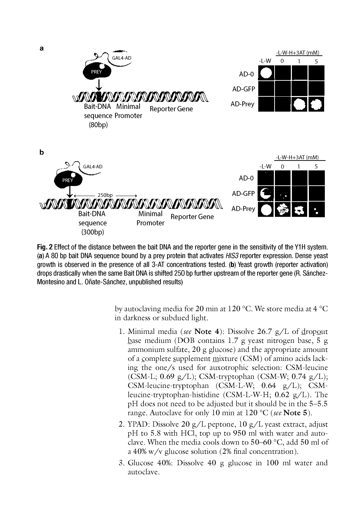

**Fig.** 2 Effect of the distance between the bait DNA and the reporter gene in the sensitivity of the Y1H system. (a) A 80 bp bait DNA sequence bound by a prey protein that activates HIS3 reporter expression. Dense yeast growth is observed in the presence of all 3-AT concentrations tested, (b) Yeast growth (reporter activation) drops drastically when the same Bait DNA is shifted 250 bp further upstream of the reporter gene (R. Sanchez-Montesino and L. Oñate-Sánchez, unpublished results)

by autoclaving media for 20 min at 120 °C. We store media at 4 °C in darkness or subdued light.

- 1. Minimal media *(see* Note 4): Dissolve 26.7 g/L of dropout base medium (DOB contains 1.7 g yeast nitrogen base, 5 g ammonium sulfate, 20 g glucose) and the appropriate amount of a complete supplement mixture (CSM) of amino acids lacking the one/s used for auxotrophic selection: CSM-leucine (CSM-L;  $0.69$  g/L); CSM-tryptophan (CSM-W;  $0.74$  g/L); CSM-leucine-tryptophan (CSM-L-W; 0.64 g/L); CSMleucine-tryptophan-histidine (CSM-L-W-H; 0.62 g/L). The pH does not need to be adjusted but it should be in the 5-5.5 range. Autoclave for only 10 min at 120 °C (see **Note 5**).
- 2. YPAD: Dissolve 20 g/L peptone, 10 g/L yeast extract, adjust pH to 5.8 with HC1, top up to 950 ml with water and autoclave. When the media cools down to 50-60 °C, add 50 ml of a 40% w/v glucose solution (2% final concentration).
- 3. Glucose 40%: Dissolve 40 g glucose in 100 ml water and autoclave.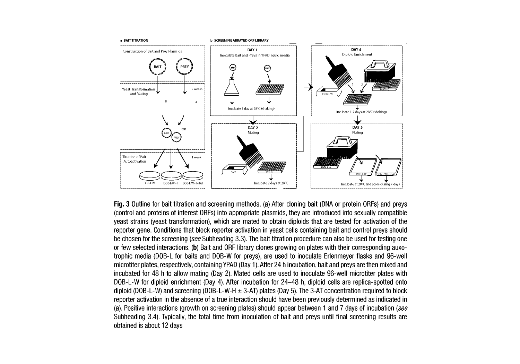

**Fig.** 3 Outline for bait titration and screening methods, (a) After cloning bait (DNA or protein ORFs) and preys (control and proteins of interest ORFs) into appropriate plasmids, they are introduced into sexually compatible yeast strains (yeast transformation), which are mated to obtain diploids that are tested for activation of the reporter gene. Conditions that block reporter activation in yeast cells containing bait and control preys should be chosen for the screening (see Subheading 3.3). The bait titration procedure can also be used for testing one or few selected interactions, (b) Bait and ORF library clones growing on plates with their corresponding auxotrophic media (DOB-L for baits and DOB-W for preys), are used to inoculate Erlenmeyer flasks and 96-well microtiter plates, respectively, containing YPAD (Day 1). After 24 h incubation, bait and preys are then mixed and incubated for 48 h to allow mating (Day 2). Mated cells are used to inoculate 96-well microtiter plates with DOB-L-W for diploid enrichment (Day 4). After incubation for 24-48 h, diploid cells are replica-spotted onto diploid (DOB-L-W) and screening (DOB-L-W-H  $\pm$  3-AT) plates (Day 5). The 3-AT concentration required to block reporter activation in the absence of a true interaction should have been previously determined as indicated in (a). Positive interactions (growth on screening plates) should appear between 1 and 7 days of incubation (see Subheading 3.4). Typically, the total time from inoculation of bait and preys until final screening results are obtained is about 12 days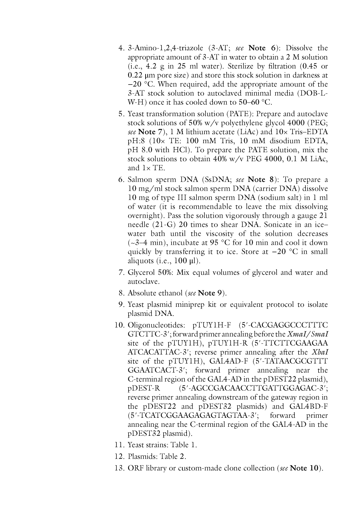- 4. 3-Amino-1,2,4-triazole (3-AT; see Note 6): Dissolve the appropriate amount of 3-AT in water to obtain a 2 M solution (i.e., 4.2 g in 25 ml water). Sterilize by filtration (0.45 or 0.22 um pore size) and store this stock solution in darkness at  $-20$  °C. When required, add the appropriate amount of the 3-AT stock solution to autoclaved minimal media (DOB-L-W-H) once it has cooled down to 50–60 °C.
- 5. Yeast transformation solution (PATE): Prepare and autoclave stock solutions of  $50\%$  w/v polyethylene glycol  $4000$  (PEG; *see* Note 7), 1 M lithium acetate (LiAc) and  $10 \times$  Tris-EDTA pH:8 (lOx TE: 100 mM Tris, 10 mM disodium EDTA, pH 8.0 with HC1). To prepare the PATE solution, mix the stock solutions to obtain  $40\%$  w/v PEG  $4000$ , 0.1 M LiAc, and lx TE.
- 6. Salmon sperm DNA (SsDNA; *see* Note 8): To prepare a 10 mg/ml stock salmon sperm DNA (carrier DNA) dissolve 10 mg of type III salmon sperm DNA (sodium salt) in 1 ml of water (it is recommendable to leave the mix dissolving overnight). Pass the solution vigorously through a gauge 21 needle (21-G) 20 times to shear DNA. Sonicate in an icewater bath until the viscosity of the solution decreases (-3-4 min), incubate at 95 °C for 10 min and cool it down quickly by transferring it to ice. Store at  $-20$  °C in small aliquots (i.e.,  $100 \mu l$ ).
- 7. Glycerol 50%: Mix equal volumes of glycerol and water and autoclave.
- 8. Absolute ethanol (see Note 9).
- 9. Yeast plasmid miniprep kit or equivalent protocol to isolate plasmid DNA.
- 10. Oligonucleotides: pTUYlH-F (5'-CACGAGGCCCTTTC GTCTTC-3'; forward primer annealing before the *Xmal/Smal*  site of the pTUYlH), pTUYlH-R (5'-TTCTTCGAAGAA ATCACATTAC-3'; reverse primer annealing after the *Xbal*  site of the pTUYlH), GAL4AD-F (5'-TATAACGCGTTT GGAATCACT-3'; forward primer annealing near the C-terminal region of the GAL4-AD in the pDEST22 plasmid), pDEST-R (5' -AGCCGACAACCTTGATTGGAGAC-3'; reverse primer annealing downstream of the gateway region in the pDEST22 and pDEST32 plasmids) and GAL4BD-F (5'-TCATCGGAAGAGAGTAGTAA-3'; forward primer annealing near the C-terminal region of the GAL4-AD in the pDEST32 plasmid).
- 11. Yeast strains: Table 1.
- 12. Plasmids: Table 2.
- 13. ORF library or custom-made clone collection *(see* **Note 10**).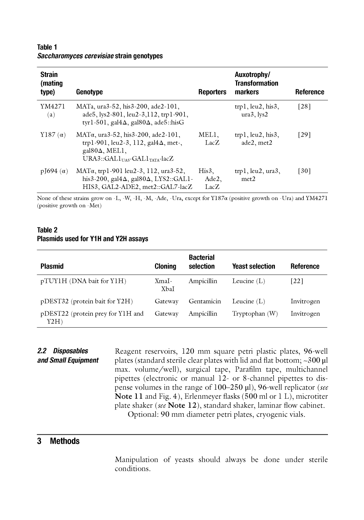| <b>Strain</b><br>(mating<br>type) | Genotype                                                                                                                                                                        | <b>Reporters</b>                  | Auxotrophy/<br><b>Transformation</b><br>markers | <b>Reference</b>   |
|-----------------------------------|---------------------------------------------------------------------------------------------------------------------------------------------------------------------------------|-----------------------------------|-------------------------------------------------|--------------------|
| YM4271<br>(a)                     | MATa, ura3-52, his3-200, ade2-101,<br>ade5, lys2-801, leu2-3,112, trp1-901,<br>tyr1-501, gal $4\Delta$ , gal $80\Delta$ , ade5::hisG                                            |                                   | trp1, leu2, his3,<br>ura3, lys2                 | $\lceil 28 \rceil$ |
| Y187 $(\alpha)$                   | $\text{MAT}\alpha$ , ura $3-52$ , his $3-200$ , ade $2-101$ ,<br>trp1-901, leu2-3, 112, gal $4\Delta$ , met-,<br>$\text{gal80}\Delta$ , MEL1,<br>$URA3::GAL1IIAS-GAL1TATA-lacZ$ | MEL1.<br>LacZ                     | trp1, leu2, his3,<br>ade2, met2                 | [29]               |
| $p$ [694 $(\alpha)$               | $\text{MAT}\alpha$ , trp1-901 leu2-3, 112, ura3-52,<br>his 3-200, gal $4\Delta$ , gal $80\Delta$ , LYS2::GAL1-<br>HIS3, GAL2-ADE2, met2::GAL7-lacZ                              | His <sub>3</sub><br>Ade2,<br>IacZ | trp1, leu2, ura3,<br>met2                       | [30]               |

## **Table 1 Saccharomyces cerevisiae strain genotypes**

None of these strains grow on -L, -W, -H, -M, -Ade, -Ura, except for Y187a (positive growth on -Ura) and YM4271 (positive growth on -Met)

#### **Table 2 Plasmids used for Y1H and Y2H assays**

| Plasmid                                   | <b>Cloning</b> | <b>Bacterial</b><br>selection | <b>Yeast selection</b> | Reference          |
|-------------------------------------------|----------------|-------------------------------|------------------------|--------------------|
| pTUY1H (DNA bait for Y1H)                 | XmaI-<br>XbaI  | Ampicillin                    | Leucine $(L)$          | $\lceil 22 \rceil$ |
| pDEST32 (protein bait for Y2H)            | Gateway        | Gentamicin                    | Leucine $(L)$          | Invitrogen         |
| pDEST22 (protein prey for Y1H and<br>Y2H) | Gateway        | Ampicillin                    | Tryptophan $(W)$       | Invitrogen         |

**2.2 Disposables** Reagent reservoirs, 120 mm square petri plastic plates, 96-well *and Small Equipment* plates (standard sterile clear plates with lid and flat bottom; -300 ul max. volume/well), surgical tape, Parafilm tape, multichannel pipettes (electronic or manual 12- or 8-channel pipettes to dispense volumes in the range of 100-250 ul), 96-well replicator *(see*  Note 11 and Fig. 4), Erlenmeyer flasks (500 ml or 1 L), microtiter plate shaker (see Note 12), standard shaker, laminar flow cabinet. Optional: 90 mm diameter petri plates, cryogenic vials.

### **3 Methods**

Manipulation of yeasts should always be done under sterile conditions.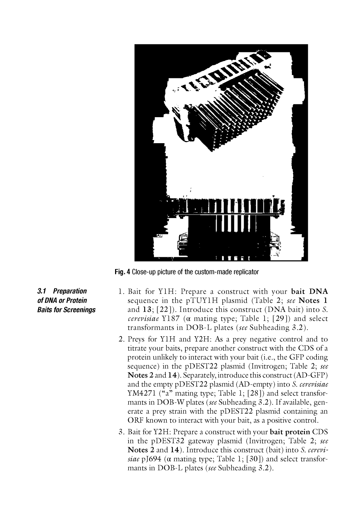

Fig. 4 Close-up picture of the custom-made replicator

- **3.1 Preparation** 1. Bait for Y1H: Prepare a construct with your bait DNA *of DNA or Protein* sequence in the pTUY1H plasmid (Table 2; *see* Notes 1 *Baits for Screenings* and **13;** [22]). Introduce this construct (DNA bait) into *S. cerevisiae* Y187 ( $\alpha$  mating type; Table 1; [29]) and select transformants in DOB-L plates *(see* Subheading 3.2).
	- 2. Preys for YIH and Y2H: As a prey negative control and to titrate your baits, prepare another construct with the CDS of a protein unlikely to interact with your bait (i.e., the GFP coding sequence) in the pDEST22 plasmid (Invitrogen; Table 2; *see*  Notes 2 and 14). Separately, introduce this construct (AD-GFP) and the empty pDEST22 plasmid (AD-empty) into *S. cerevisiae*  YM4271 ("a" mating type; Table 1; [28]) and select transformants in DOB-W plates *(see* Subheading 3.2). If available, generate a prey strain with the pDEST22 plasmid containing an ORF known to interact with your bait, as a positive control.
	- 3. Bait for Y2H: Prepare a construct with your bait protein CDS in the pDEST32 gateway plasmid (Invitrogen; Table 2; *see*  Notes 2 and 14). Introduce this construct (bait) into *S. cerevisiae*  $p$ [694 ( $\alpha$  mating type; Table 1; [30]) and select transformants in DOB-L plates *(see* Subheading 3.2).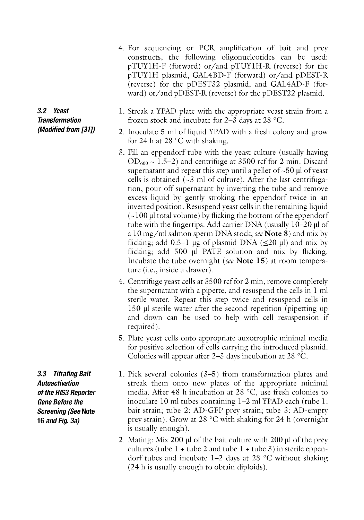4. For sequencing or PCR amplification of bait and prey constructs, the following oligonucleotides can be used: pTUYlH-F (forward) or/and pTUYlH-R (reverse) for the pTUYlH plasmid, GAL4BD-F (forward) or/and pDEST-R (reverse) for the pDEST32 plasmid, and GAL4AD-F (forward) or/and pDEST-R (reverse) for the pDEST22 plasmid.

1. Streak a YPAD plate with the appropriate yeast strain from a frozen stock and incubate for 2-3 days at 28 °C.

- 2. Inoculate 5 ml of liquid YPAD with a fresh colony and grow for 24 h at 28  $\degree$ C with shaking.
- 3. Fill an eppendorf tube with the yeast culture (usually having  $OD_{600} \sim 1.5-2$ ) and centrifuge at 3500 rcf for 2 min. Discard supernatant and repeat this step until a pellet of  $\sim$ 50 µl of yeast cells is obtained  $({\sim}3$  ml of culture). After the last centrifugation, pour off supernatant by inverting the tube and remove excess liquid by gently stroking the eppendorf twice in an inverted position. Resuspend yeast cells in the remaining liquid  $(-100 \mu l$  total volume) by flicking the bottom of the eppendorf tube with the fingertips. Add carrier DNA (usually 10-20 ul of a 10 mg/ml salmon sperm DNA stock; see Note 8) and mix by flicking; add 0.5-1 µg of plasmid DNA ( $\leq$ 20 µl) and mix by flicking; add 500 ul PATE solution and mix by flicking. Incubate the tube overnight (see **Note 15**) at room temperature (i.e., inside a drawer).
- 4. Centrifuge yeast cells at 3500 rcf for 2 min, remove completely the supernatant with a pipette, and resuspend the cells in 1 ml sterile water. Repeat this step twice and resuspend cells in 150 ul sterile water after the second repetition (pipetting up and down can be used to help with cell resuspension if required).
- 5. Plate yeast cells onto appropriate auxotrophic minimal media for positive selection of cells carrying the introduced plasmid. Colonies will appear after 2-3 days incubation at 28 °C.
- 1. Pick several colonies (3-5) from transformation plates and streak them onto new plates of the appropriate minimal media. After 48 h incubation at 28 °C, use fresh colonies to inoculate 10 ml tubes containing 1-2 ml YPAD each (tube 1: bait strain; tube 2: AD-GFP prey strain; tube 3: AD-empty prey strain). Grow at 28 °C with shaking for 24 h (overnight is usually enough).
- 2. Mating: Mix 200 µl of the bait culture with 200 µl of the prey cultures (tube  $1 +$  tube 2 and tube  $1 +$  tube 3) in sterile eppendorf tubes and incubate  $1-2$  days at  $28 °C$  without shaking (24 h is usually enough to obtain diploids).

**3.3 Titrating Bait Autoactivation of the HIS3 Reporter Gene Before the Screening (See Note 16 and Fig. 3a)** 

**3.2 Yeast Transformation (Modified from [31])**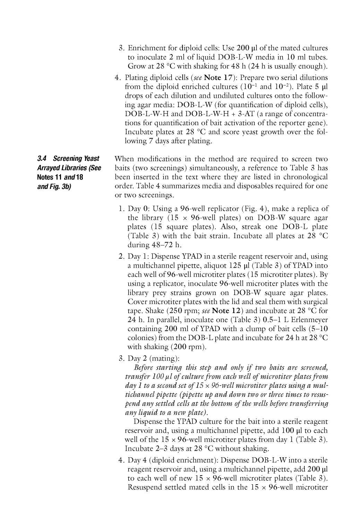- . Enrichment for diploid cells: Use 200 ul of the mated cultures to inoculate 2 ml of liquid DOB-L-W media in 10 ml tubes. Grow at 28  $\degree$ C with shaking for 48 h (24 h is usually enough).
- 4. Plating diploid cells *(see* **Note 17**): Prepare two serial dilutions from the diploid enriched cultures  $(10^{-1}$  and  $10^{-2})$ . Plate 5  $\mu$ l drops of each dilution and undiluted cultures onto the following agar media: DOB-L-W (for quantification of diploid cells), DOB-L-W-H and DOB-L-W-H + 3-AT (a range of concentrations for quantification of bait activation of the reporter gene). Incubate plates at  $28 \text{ °C}$  and score yeast growth over the following 7 days after plating.

When modifications in the method are required to screen two baits (two screenings) simultaneously, a reference to Table 3 has been inserted in the text where they are listed in chronological order. Table 4 summarizes media and disposables required for one or two screenings.

- 1. Day 0: Using a 96-well replicator (Fig. 4), make a replica of the library (15  $\times$  96-well plates) on DOB-W square agar plates (15 square plates). Also, streak one DOB-L plate (Table 3) with the bait strain. Incubate all plates at 28 °C during 48-72 h.
- 2. Day 1: Dispense YPAD in a sterile reagent reservoir and, using a multichannel pipette, aliquot 125 ul (Table 3) of YPAD into each well of 96-well microtiter plates (15 microtiter plates). By using a replicator, inoculate 96-well microtiter plates with the library prey strains grown on DOB-W square agar plates. Cover microtiter plates with the lid and seal them with surgical tape. Shake (250 rpm; *see* **Note 12**) and incubate at 28 °C for 24 h. In parallel, inoculate one (Table 3) 0.5-1 L Erlenmeyer containing 200 ml of YPAD with a clump of bait cells (5-10 colonies) from the DOB-L plate and incubate for 24 h at 28 °C with shaking (200 rpm).
- 3. Day 2 (mating):

*Before starting this step and only if two baits are screened, transfer 100 pi of culture from each well of microtiter plates from day 1 to a second set of IS* x *96-well microtiter plates using a multichannel pipette (pipette up and down two or three times to resuspend any settled cells at the bottom of the wells before transferring any liquid to a new plate).* 

Dispense the YPAD culture for the bait into a sterile reagent reservoir and, using a multichannel pipette, add 100 ul to each well of the  $15 \times 96$ -well microtiter plates from day 1 (Table 3). Incubate 2-3 days at 28 °C without shaking.

4. Day 4 (diploid enrichment): Dispense DOB-L-W into a sterile reagent reservoir and, using a multichannel pipette, add 200 ul to each well of new  $15 \times 96$ -well microtiter plates (Table 3). Resuspend settled mated cells in the  $15 \times 96$ -well microtiter

3.4 Screening Yeast Arrayed Libraries (See Notes 11 and 18 and Fig. 3b)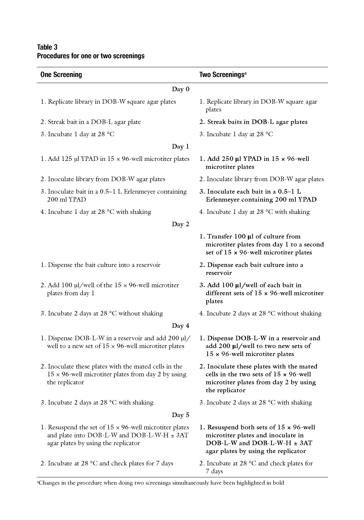## **Table 3 Procedures for one or two screenings**

| <b>One Screening</b>                                                                                                                                    | Two Screenings <sup>a</sup>                                                                                                                              |  |  |  |
|---------------------------------------------------------------------------------------------------------------------------------------------------------|----------------------------------------------------------------------------------------------------------------------------------------------------------|--|--|--|
| Day 0                                                                                                                                                   |                                                                                                                                                          |  |  |  |
| 1. Replicate library in DOB-W square agar plates                                                                                                        | 1. Replicate library in DOB-W square agar<br>plates                                                                                                      |  |  |  |
| 2. Streak bait in a DOB-L agar plate                                                                                                                    | 2. Streak baits in DOB-L agar plates                                                                                                                     |  |  |  |
| 3. Incubate 1 day at 28 °C                                                                                                                              | 3. Incubate 1 day at 28 °C                                                                                                                               |  |  |  |
| Day 1                                                                                                                                                   |                                                                                                                                                          |  |  |  |
| 1. Add 125 µl YPAD in $15 \times 96$ -well microtiter plates                                                                                            | 1. Add $250 \mu$ l YPAD in $15 \times 96$ -well<br>microtiter plates                                                                                     |  |  |  |
| 2. Inoculate library from DOB-W agar plates                                                                                                             | 2. Inoculate library from DOB-W agar plates                                                                                                              |  |  |  |
| 3. Inoculate bait in a 0.5–1 L Erlenmeyer containing<br>200 ml YPAD                                                                                     | 3. Inoculate each bait in a 0.5–1 L<br>Erlenmeyer containing 200 ml YPAD                                                                                 |  |  |  |
| 4. Incubate 1 day at 28 °C with shaking                                                                                                                 | 4. Incubate 1 day at 28 °C with shaking                                                                                                                  |  |  |  |
| Day 2                                                                                                                                                   |                                                                                                                                                          |  |  |  |
|                                                                                                                                                         | 1. Transfer $100 \mu l$ of culture from<br>microtiter plates from day 1 to a second<br>set of $15 \times 96$ -well microtiter plates                     |  |  |  |
| 1. Dispense the bait culture into a reservoir                                                                                                           | 2. Dispense each bait culture into a<br>reservoir                                                                                                        |  |  |  |
| 2. Add 100 µl/well of the $15 \times 96$ -well microtiter<br>plates from day 1                                                                          | 3. Add 100 µl/well of each bait in<br>different sets of $15 \times 96$ -well microtiter<br>plates                                                        |  |  |  |
| 3. Incubate 2 days at 28 °C without shaking                                                                                                             | 4. Incubate 2 days at 28 °C without shaking                                                                                                              |  |  |  |
| Day 4                                                                                                                                                   |                                                                                                                                                          |  |  |  |
| 1. Dispense DOB-L-W in a reservoir and add 200 µl/<br>well to a new set of $15 \times 96$ -well microtiter plates                                       | 1. Dispense DOB-L-W in a reservoir and<br>add 200 µl/well to two new sets of<br>15 x 96-well microtiter plates                                           |  |  |  |
| 2. Inoculate these plates with the mated cells in the<br>$15 \times 96$ -well microtiter plates from day 2 by using<br>the replicator                   | 2. Inoculate these plates with the mated<br>cells in the two sets of $15 \times 96$ -well<br>microtiter plates from day 2 by using<br>the replicator     |  |  |  |
| 3. Incubate 2 days at 28 °C with shaking                                                                                                                | 3. Incubate 2 days at 28 °C with shaking                                                                                                                 |  |  |  |
| Day 5                                                                                                                                                   |                                                                                                                                                          |  |  |  |
| 1. Resuspend the set of $15 \times 96$ -well microtiter plates<br>and plate into DOB-L-W and DOB-L-W-H $\pm$ 3AT<br>agar plates by using the replicator | 1. Resuspend both sets of 15 x 96-well<br>microtiter plates and inoculate in<br>$DOB-L-W$ and $DOB-L-W-H \pm 3AT$<br>agar plates by using the replicator |  |  |  |
| 2. Incubate at 28 °C and check plates for 7 days                                                                                                        | 2. Incubate at 28 °C and check plates for<br>7 days                                                                                                      |  |  |  |

"Changes in the procedure when doing two screenings simultaneously have been highlighted in bold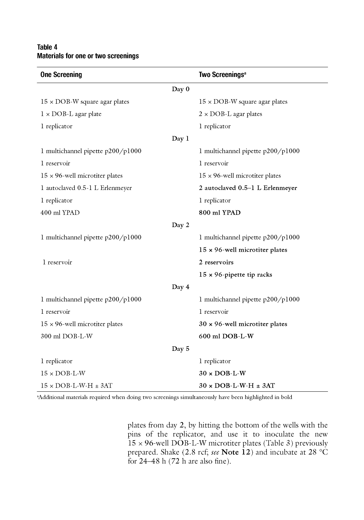| Table 4                                    |  |  |  |
|--------------------------------------------|--|--|--|
| <b>Materials for one or two screenings</b> |  |  |  |

| <b>One Screening</b>                   | Two Screenings <sup>a</sup>            |
|----------------------------------------|----------------------------------------|
| Day 0                                  |                                        |
| $15 \times$ DOB-W square agar plates   | $15 \times$ DOB-W square agar plates   |
| $1 \times$ DOB-L agar plate            | $2 \times$ DOB-L agar plates           |
| 1 replicator                           | 1 replicator                           |
| Day 1                                  |                                        |
| 1 multichannel pipette p200/p1000      | 1 multichannel pipette p200/p1000      |
| 1 reservoir                            | 1 reservoir                            |
| $15 \times 96$ -well microtiter plates | $15 \times 96$ -well microtiter plates |
| 1 autoclaved 0.5-1 L Erlenmeyer        | 2 autoclaved 0.5-1 L Erlenmeyer        |
| 1 replicator                           | 1 replicator                           |
| 400 ml YPAD                            | 800 ml YPAD                            |
| Day 2                                  |                                        |
| 1 multichannel pipette p200/p1000      | 1 multichannel pipette p200/p1000      |
|                                        | 15 x 96-well microtiter plates         |
| 1 reservoir                            | 2 reservoirs                           |
|                                        | $15 \times 96$ -pipette tip racks      |
| Day 4                                  |                                        |
| 1 multichannel pipette p200/p1000      | 1 multichannel pipette p200/p1000      |
| 1 reservoir                            | 1 reservoir                            |
| $15 \times 96$ -well microtiter plates | $30 \times 96$ -well microtiter plates |
| 300 ml DOB-L-W                         | 600 ml DOB-L-W                         |
| Day 5                                  |                                        |
| 1 replicator                           | 1 replicator                           |
| $15 \times DOB-L-W$                    | $30 \times DOB-L-W$                    |
| $15 \times$ DOB-L-W-H $\pm 3AT$        | $30 \times$ DOB-L-W-H $\pm 3AT$        |

"Additional materials required when doing two screenings simultaneously have been highlighted in bold

plates from day 2, by hitting the bottom of the wells with the pins of the replicator, and use it to inoculate the new  $15 \times 96$ -well DOB-L-W microtiter plates (Table 3) previously prepared. Shake (2.8 rcf; *see* **Note 12)** and incubate at 28 °C for 24-48 h (72 h are also fine).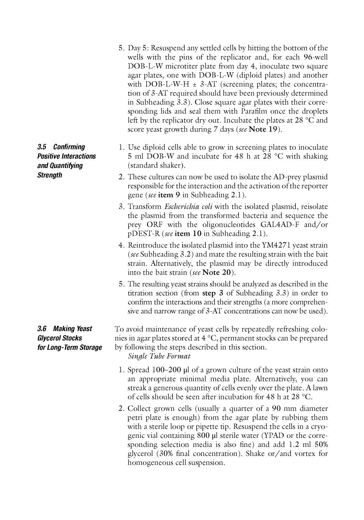- 5. Day 5: Resuspend any settled cells by hitting the bottom of the wells with the pins of the replicator and, for each 96-well DOB-L-W microtiter plate from day 4, inoculate two square agar plates, one with DOB-L-W (diploid plates) and another with DOB-L-W-H  $\pm$  3-AT (screening plates; the concentration of 3-AT required should have been previously determined in Subheading 3.3). Close square agar plates with their corresponding lids and seal them with Parafilm once the droplets left by the replicator dry out. Incubate the plates at 28 °C and score yeast growth during 7 days *(see* **Note 19).**
- 1. Use diploid cells able to grow in screening plates to inoculate 5 ml DOB-W and incubate for 48 h at 28 °C with shaking (standard shaker).
- 2. These cultures can now be used to isolate the AD-prey plasmid responsible for the interaction and the activation of the reporter gene *(see* **item 9** in Subheading 2.1).
- 3. Transform *Escherichia coli* with the isolated plasmid, reisolate the plasmid from the transformed bacteria and sequence the prey ORF with the oligonucleotides GAL4AD-F and/or pDEST-R *(see* **item 10** in Subheading 2.1).
- 4. Reintroduce the isolated plasmid into the YM4271 yeast strain *(see* Subheading 3.2) and mate the resulting strain with the bait strain. Alternatively, the plasmid may be directly introduced into the bait strain *(see* **Note 20).**
- 5. The resulting yeast strains should be analyzed as described in the titration section (from **step 3** of Subheading 3.3) in order to confirm the interactions and their strengths (a more comprehensive and narrow range of 3-AT concentrations can now be used).

To avoid maintenance of yeast cells by repeatedly refreshing colonies in agar plates stored at 4 °C, permanent stocks can be prepared by following the steps described in this section. *Single Tube Format* 

- 1. Spread **100-200** *\a\* of a grown culture of the yeast strain onto an appropriate minimal media plate. Alternatively, you can streak a generous quantity of cells evenly over the plate. A lawn of cells should be seen after incubation for 48 h at 28 °C.
- 2. Collect grown cells (usually a quarter of a 90 mm diameter petri plate is enough) from the agar plate by rubbing them with a sterile loop or pipette tip. Resuspend the cells in a cryogenic vial containing 800 *\i\* sterile water (YPAD or the corresponding selection media is also fine) and add 1.2 ml 50% glycerol (30% final concentration). Shake or/and vortex for homogeneous cell suspension.

**3.5 Confirming Positive Interactions and Quantifying Strength** 

**3.6 Making Yeast Glycerol Stocks for Long-Term Storage**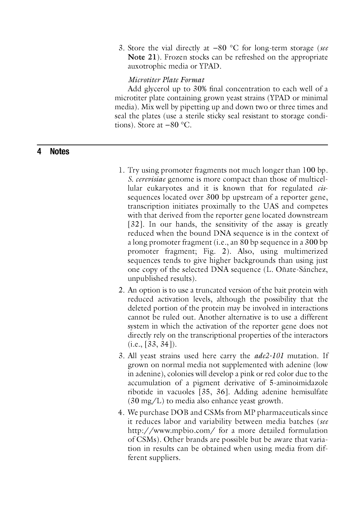3. Store the vial directly at  $-80$  °C for long-term storage (see **Note 21).** Frozen stocks can be refreshed on the appropriate auxotrophic media or YPAD.

#### *Mierotiter Plate Format*

Add glycerol up to 30% final concentration to each well of a microtiter plate containing grown yeast strains (YPAD or minimal media). Mix well by pipetting up and down two or three times and seal the plates (use a sterile sticky seal resistant to storage conditions). Store at  $-80$  °C.

#### **4 Notes**

- 1. Try using promoter fragments not much longer than 100 bp. *S. eerevisiae* genome is more compact than those of multicellular eukaryotes and it is known that for regulated *cis*sequences located over 300 bp upstream of a reporter gene, transcription initiates proximally to the UAS and competes with that derived from the reporter gene located downstream [32]. In our hands, the sensitivity of the assay is greatly reduced when the bound DNA sequence is in the context of a long promoter fragment (i.e., an 80 bp sequence in a 300 bp promoter fragment; Fig. 2). Also, using multimerized sequences tends to give higher backgrounds than using just one copy of the selected DNA sequence (L. Onate-Sanchez, unpublished results).
- 2. An option is to use a truncated version of the bait protein with reduced activation levels, although the possibility that the deleted portion of the protein may be involved in interactions cannot be ruled out. Another alternative is to use a different system in which the activation of the reporter gene does not directly rely on the transcriptional properties of the interactors  $(i.e., [33, 34]).$
- 3. All yeast strains used here carry the *adel-101* mutation. If grown on normal media not supplemented with adenine (low in adenine), colonies will develop a pink or red color due to the accumulation of a pigment derivative of 5-aminoimidazole ribotide in vacuoles [35, 36]. Adding adenine hemisulfate  $(30 \,\mathrm{mg/L})$  to media also enhance yeast growth.
- 4. We purchase DOB and CSMs from MP pharmaceuticals since it reduces labor and variability between media batches *(see*  <http://www.mpbio.com/>for a more detailed formulation of CSMs). Other brands are possible but be aware that variation in results can be obtained when using media from different suppliers.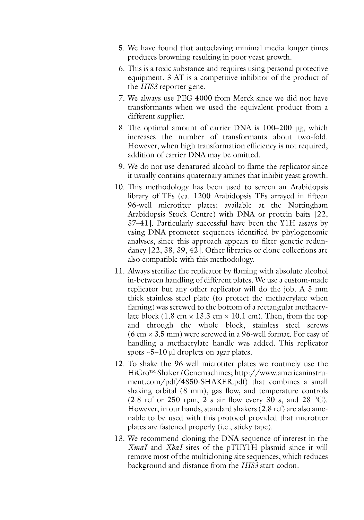- 5. We have found that autoclaving minimal media longer times produces browning resulting in poor yeast growth.
- 6. This is a toxic substance and requires using personal protective equipment. 3-AT is a competitive inhibitor of the product of the *HIS3* reporter gene.
- 7. We always use PEG 4000 from Merck since we did not have transformants when we used the equivalent product from a different supplier.
- 8. The optimal amount of carrier DNA is 100–200 µg, which increases the number of transformants about two-fold. However, when high transformation efficiency is not required, addition of carrier DNA may be omitted.
- 9. We do not use denatured alcohol to flame the replicator since it usually contains quaternary amines that inhibit yeast growth.
- 10. This methodology has been used to screen an Arabidopsis library of TFs (ca. 1200 Arabidopsis TFs arrayed in fifteen 96-well microtiter plates; available at the Nottingham Arabidopsis Stock Centre) with DNA or protein baits [22, 37-41]. Particularly successful have been the Y1H assays by using DNA promoter sequences identified by phylogenomic analyses, since this approach appears to filter genetic redundancy [22, 38, 39, 42]. Other libraries or clone collections are also compatible with this methodology.
- 11. Always sterilize the replicator by flaming with absolute alcohol in-between handling of different plates. We use a custom-made replicator but any other replicator will do the job. A 3 mm thick stainless steel plate (to protect the methacrylate when flaming) was screwed to the bottom of a rectangular methacrylate block (1.8 cm  $\times$  13.3 cm  $\times$  10.1 cm). Then, from the top and through the whole block, stainless steel screws  $(6 \text{ cm} \times 3.5 \text{ mm})$  were screwed in a 96-well format. For easy of handling a methacrylate handle was added. This replicator spots  $\sim$ 5-10 µl droplets on agar plates.
- 12. To shake the 96-well microtiter plates we routinely use the HiGro™ Shaker (Genemachines; [http://www.americaninstru](http://www.americaninstru-)[ment.com/pdf/4850-SHAKER.pdf\)](ment.com/pdf/4850-SHAKER.pdf) that combines a small shaking orbital (8 mm), gas flow, and temperature controls  $(2.8 \text{ rcf or } 250 \text{ rpm}, 2 \text{ s air flow every } 30 \text{ s, and } 28 \text{ °C}).$ However, in our hands, standard shakers (2.8 rcf) are also amenable to be used with this protocol provided that microtiter plates are fastened properly (i.e., sticky tape).
- 13. We recommend cloning the DNA sequence of interest in the *Xmal* and *Xbal* sites of the pTUYlH plasmid since it will remove most of the multicloning site sequences, which reduces background and distance from the *HIS3* start codon.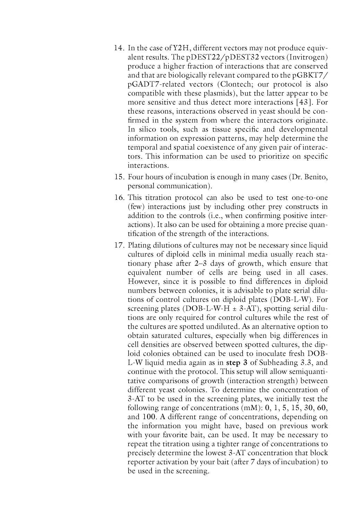- 14. In the case of Y2H, different vectors may not produce equivalent results. The pDEST22/pDEST32 vectors (Invitrogen) produce a higher fraction of interactions that are conserved and that are biologically relevant compared to the pGBKT7 / pGADT7-related vectors (Clontech; our protocol is also compatible with these plasmids), but the latter appear to be more sensitive and thus detect more interactions [43]. For these reasons, interactions observed in yeast should be confirmed in the system from where the interactors originate. In silico tools, such as tissue specific and developmental information on expression patterns, may help determine the temporal and spatial coexistence of any given pair of interactors. This information can be used to prioritize on specific interactions.
- 15. Four hours of incubation is enough in many cases (Dr. Benito, personal communication).
- 16. This titration protocol can also be used to test one-to-one (few) interactions just by including other prey constructs in addition to the controls (i.e., when confirming positive interactions). It also can be used for obtaining a more precise quantification of the strength of the interactions.
- 17. Plating dilutions of cultures may not be necessary since liquid cultures of diploid cells in minimal media usually reach stationary phase after 2-3 days of growth, which ensure that equivalent number of cells are being used in all cases. However, since it is possible to find differences in diploid numbers between colonies, it is advisable to plate serial dilutions of control cultures on diploid plates (DOB-L-W). For screening plates (DOB-L-W-H  $\pm$  3-AT), spotting serial dilutions are only required for control cultures while the rest of the cultures are spotted undiluted. As an alternative option to obtain saturated cultures, especially when big differences in cell densities are observed between spotted cultures, the diploid colonies obtained can be used to inoculate fresh DOB-L-W liquid media again as in **step 3** of Subheading 3.3, and continue with the protocol. This setup will allow semiquantitative comparisons of growth (interaction strength) between different yeast colonies. To determine the concentration of 3-AT to be used in the screening plates, we initially test the following range of concentrations  $(mM)$ : 0, 1, 5, 15, 30, 60, and 100. A different range of concentrations, depending on the information you might have, based on previous work with your favorite bait, can be used. It may be necessary to repeat the titration using a tighter range of concentrations to precisely determine the lowest 3-AT concentration that block reporter activation by your bait (after 7 days of incubation) to be used in the screening.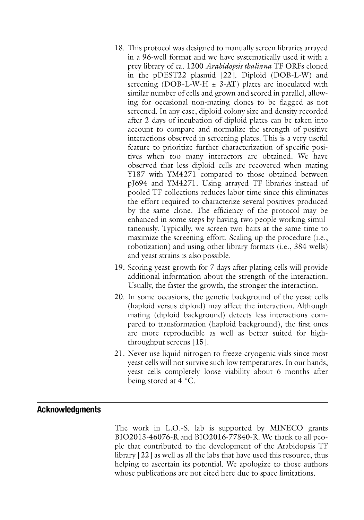- 18. This protocol was designed to manually screen libraries arrayed in a 96-well format and we have systematically used it with a prey library of ca. 1200 *Arabidopsis thaliana* TF ORFs cloned in the pDEST22 plasmid [22]. Diploid (DOB-L-W) and screening (DOB-L-W-H  $\pm$  3-AT) plates are inoculated with similar number of cells and grown and scored in parallel, allowing for occasional non-mating clones to be flagged as not screened. In any case, diploid colony size and density recorded after 2 days of incubation of diploid plates can be taken into account to compare and normalize the strength of positive interactions observed in screening plates. This is a very useful feature to prioritize further characterization of specific positives when too many interactors are obtained. We have observed that less diploid cells are recovered when mating Y187 with YM4271 compared to those obtained between pJ694 and YM4271. Using arrayed TF libraries instead of pooled TF collections reduces labor time since this eliminates the effort required to characterize several positives produced by the same clone. The efficiency of the protocol may be enhanced in some steps by having two people working simultaneously. Typically, we screen two baits at the same time to maximize the screening effort. Scaling up the procedure (i.e., robotization) and using other library formats (i.e., 384-wells) and yeast strains is also possible.
- 19. Scoring yeast growth for 7 days after plating cells will provide additional information about the strength of the interaction. Usually, the faster the growth, the stronger the interaction.
- 20. In some occasions, the genetic background of the yeast cells (haploid versus diploid) may affect the interaction. Although mating (diploid background) detects less interactions compared to transformation (haploid background), the first ones are more reproducible as well as better suited for highthroughput screens [15].
- 21. Never use liquid nitrogen to freeze cryogenic vials since most yeast cells will not survive such low temperatures. In our hands, yeast cells completely loose viability about 6 months after being stored at 4 °C.

#### **Acknowledgments**

The work in L.O.-S. lab is supported by MINECO grants BIO2013-46076-R and BIO2016-77840-R. We thank to all people that contributed to the development of the Arabidopsis TF library [22] as well as all the labs that have used this resource, thus helping to ascertain its potential. We apologize to those authors whose publications are not cited here due to space limitations.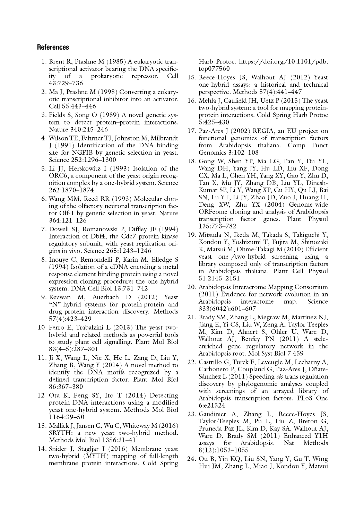#### **References**

- 1. Brent R, Ptashne M (1985) A eukaryotic transcriptional activator bearing the DNA specificity of a prokaryotic repressor. Cell 43:729-736
- 2. Ma J, Ptashne M (1998) Converting a eukaryotic transcriptional inhibitor into an activator. Cell 55:443-446
- 3. Fields S, Song O (1989) A novel genetic system to detect protein-protein interactions. Nature 340:245-246
- 4. Wilson TE, Fahrner TJ, Johnston M, Milbrandt J (1991) Identification of the DNA binding site for NGFIB by genetic selection in yeast. Science 252:1296-1300
- 5. Li JJ, Herskowitz I (1993) Isolation of the ORC6, a component of the yeast origin recognition complex by a one-hybrid system. Science 262:1870-1874
- 6. Wang MM, Reed RR (1993) Molecular cloning of the olfactory neuronal transcription factor Olf-1 by genetic selection in yeast. Nature 364:121-126
- 7. Dowell SJ, Romanowski P, Diffley JF (1994) Interaction of Dbf4, the Cdc7 protein kinase regulatory subunit, with yeast replication origins in vivo. Science 265:1243-1246
- 8. Inouye C, Remondelli P, Karin M, Elledge S (1994) Isolation of a cDNA encoding a metal response element binding protein using a novel expression cloning procedure: the one hybrid system. DNA Cell Biol 13:731-742
- 9. Rezwan M, Auerbach D (2012) Yeast "N"-hybrid systems for protein-protein and drug-protein interaction discovery. Methods 57(4):423-429
- 10. Ferro E, Trabalzini L (2013) The yeast twohybrid and related methods as powerful tools to study plant cell signalling. Plant Mol Biol 83(4-5):287-301
- 11. Ji X, Wang L, Nie X, He L, Zang D, Liu Y, Zhang B, Wang Y (2014) A novel method to identify the DNA motifs recognized by a defined transcription factor. Plant Mol Biol 86:367-380
- 12. Ota K, Feng SY, Ito T (2014) Detecting protein-DNA interactions using a modified yeast one-hybrid system. Methods Mol Biol 1164:39-50
- 13. Mallick J, Jansen G, Wu C, Whiteway M (2016) SRYTH: a new yeast two-hybrid method. Methods Mol Biol 1356:31-4l"
- 14. Snider J, Stagljar I (2016) Membrane yeast two-hybrid (MYTH) mapping of full-length membrane protein interactions. Cold Spring

Harb Protoc. [https://doi.org/10.1101/pdb.](https://doi.org/10.1101/pdb) top077560

- 15. Reece-Hoyes JS, Walhout AJ (2012) Yeast one-hybrid assays: a historical and technical perspective. Methods 57(4):441^47
- 16. Mehla J, Caufield JH, Uetz P (2015) The yeast two-hybrid system: a tool for mapping proteinprotein interactions. Cold Spring Harb Protoc 5:425^30
- 17. Paz-Ares J (2002) REGIA, an EU project on functional genomics of transcription factors from Arabidopsis thaliana. Comp Funct Genomics 3:102-108
- 18. Gong W, Shen YP, Ma LG, Pan Y, Du YL, Wang DH, Yang JY, Hu LD, Liu XF, Dong CX, Ma L, Chen YH, Yang XY, Gao Y, Zhu D, Tan X, Mu JY, Zhang DB, Liu YL, Dinesh-Kumar SP, Li Y, Wang XP, Gu HY, Qu LJ, Bai SN, Lu YT, Li JY, Zhao JD, Zuo J, Huang H, Deng XW, Zhu YX (2004) Genome-wide ORFeome cloning and analysis of Arabidopsis transcription factor genes. Plant Physiol 135:773-782
- 19. Mitsuda N, Ikeda M, Takada S, Takiguchi Y, Kondou Y, Yoshizumi T, Fujita M, Shinozaki K, Matsui M, Ohme-Takagi M (2010) Efficient yeast one-/two-hybrid screening using a library composed only of transcription factors in Arabidopsis thaliana. Plant Cell Physiol 51:2145-2151
- 20. Arabidopsis Interactome Mapping Consortium (2011) Evidence for network evolution in an Arabidopsis interactome map. Science 333(6042):601-607
- 21. Brady SM, Zhang L, Megraw M, Martinez NJ, Jiang E, Yi CS, Liu W, Zeng A, Taylor-Teeples M, Kim D, Ahnert S, Ohler U, Ware D, Walhout AJ, Benfey PN (2011) A steleenriched gene regulatory network in the Arabidopsis root. Mol Syst Biol 7:459
- 22. Castrillo G, Turck F, Leveugle M, Lecharny A, Carbonero P, Coupland G, Paz-Ares J, Onate-Sanchez L (2011) Speeding *cis-*trans regulation discovery by phylogenomic analyses coupled with screenings of an arrayed library of Arabidopsis transcription factors. PLoS One 6:e21524
- 23. Gaudinier A, Zhang L, Reece-Hoyes JS, Taylor-Teeples M, Pu L, Liu Z, Breton G, Pruneda-Paz JL, Kim D, Kay SA, Walhout AJ, Ware D, Brady SM (2011) Enhanced Y1H assays for Arabidopsis. Nat Methods 8(12):1053-1055
- 24. Ou B, Yin KQ, Liu SN, Yang Y, Gu T, Wing Hui JM, Zhang L, Miao J, Kondou Y, Matsui